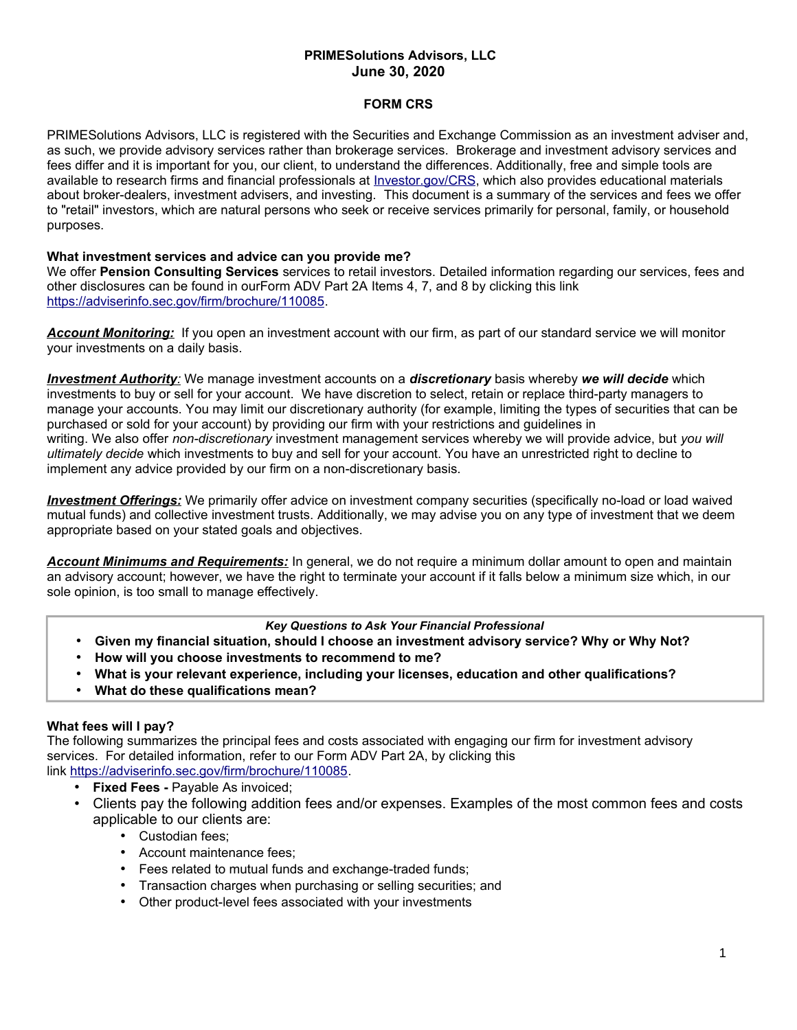# **PRIMESolutions Advisors, LLC June 30, 2020**

## **FORM CRS**

PRIMESolutions Advisors, LLC is registered with the Securities and Exchange Commission as an investment adviser and, as such, we provide advisory services rather than brokerage services. Brokerage and investment advisory services and fees differ and it is important for you, our client, to understand the differences. Additionally, free and simple tools are available to research firms and financial professionals at [Investor.gov/CRS,](http://www.Investor.gov/CRS) which also provides educational materials about broker-dealers, investment advisers, and investing. This document is a summary of the services and fees we offer to "retail" investors, which are natural persons who seek or receive services primarily for personal, family, or household purposes.

## **What investment services and advice can you provide me?**

We offer **Pension Consulting Services** services to retail investors. Detailed information regarding our services, fees and other disclosures can be found in ourForm ADV Part 2A Items 4, 7, and 8 by clicking this link [https://adviserinfo.sec.gov/firm/brochure/110085.](https://adviserinfo.sec.gov/firm/brochure/110085)

*Account Monitoring:* If you open an investment account with our firm, as part of our standard service we will monitor your investments on a daily basis.

 *Investment Authority:* We manage investment accounts on a *discretionary* basis whereby *we will decide* which investments to buy or sell for your account. We have discretion to select, retain or replace third-party managers to manage your accounts. You may limit our discretionary authority (for example, limiting the types of securities that can be purchased or sold for your account) by providing our firm with your restrictions and guidelines in writing. We also offer *non-discretionary* investment management services whereby we will provide advice, but *you will ultimately decide* which investments to buy and sell for your account. You have an unrestricted right to decline to implement any advice provided by our firm on a non-discretionary basis.

 *Investment Offerings:* We primarily offer advice on investment company securities (specifically no-load or load waived mutual funds) and collective investment trusts. Additionally, we may advise you on any type of investment that we deem appropriate based on your stated goals and objectives.

*Account Minimums and Requirements:* In general, we do not require a minimum dollar amount to open and maintain an advisory account; however, we have the right to terminate your account if it falls below a minimum size which, in our sole opinion, is too small to manage effectively.

### *Key Questions to Ask Your Financial Professional*

- **Given my financial situation, should I choose an investment advisory service? Why or Why Not?**
- **How will you choose investments to recommend to me?**
- **What is your relevant experience, including your licenses, education and other qualifications?**
- **What do these qualifications mean?**

### **What fees will I pay?**

The following summarizes the principal fees and costs associated with engaging our firm for investment advisory services. For detailed information, refer to our Form ADV Part 2A, by clicking this link [https://adviserinfo.sec.gov/firm/brochure/110085.](https://adviserinfo.sec.gov/firm/brochure/110085)

- **Fixed Fees -** Payable As invoiced;
- Clients pay the following addition fees and/or expenses. Examples of the most common fees and costs applicable to our clients are:
	- Custodian fees;
	- Account maintenance fees;
	- Fees related to mutual funds and exchange-traded funds;
	- Transaction charges when purchasing or selling securities; and
	- Other product-level fees associated with your investments